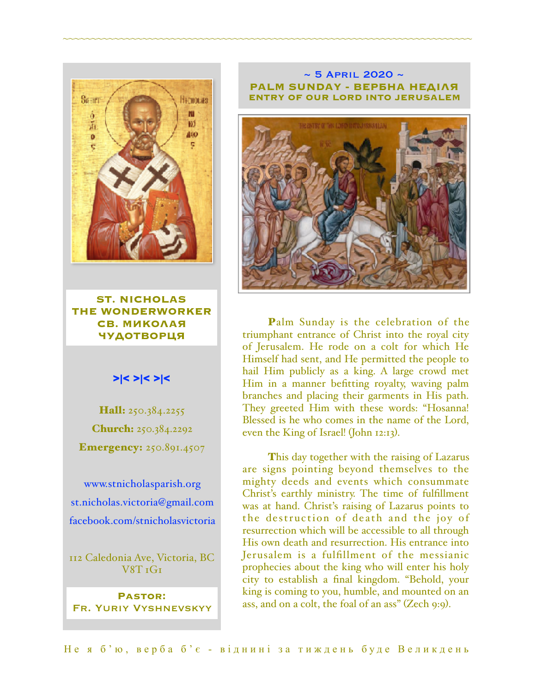

**ST. NICHOLAS THE WONDERWORKER СВ. МИКОЛАЯ ЧУДОТВОРЦЯ**

## >|< >|< >|<

Hall: 250.384.2255 Church: 250.384.2292 **Emergency:** 250.891.4507

[www.stnicholasparish.org](http://www.stnicholasparish.org) [st.nicholas.victoria@gmail.com](mailto:st.nicholas.victoria@gmail.com) [facebook.com/stnicholasvictoria](http://facebook.com/stnicholasvictoria)

112 Caledonia Ave, Victoria, BC V8T 1G1

**Pastor:**  Fr. Yuriy Vyshnevskyy

#### $\sim$  5 APRIL 2020  $\sim$ **PALM SUNDAY - ВЕРБНА НЕДІЛЯ ENTRY OF OUR LORD INTO JERUSALEM**

~~~~~~~~~~~~~~~~~~~~~~~~~~~~~~~~~~~~~~~~~~~~~~~~~~~~~~~~~~~~~~~~~~~~~~~~



Palm Sunday is the celebration of the triumphant entrance of Christ into the royal city of Jerusalem. He rode on a colt for which He Himself had sent, and He permitted the people to hail Him publicly as a king. A large crowd met Him in a manner befitting royalty, waving palm branches and placing their garments in His path. They greeted Him with these words: "Hosanna! Blessed is he who comes in the name of the Lord, even the King of Israel! (John 12:13).

This day together with the raising of Lazarus are signs pointing beyond themselves to the mighty deeds and events which consummate Christ's earthly ministry. The time of fulfillment was at hand. Christ's raising of Lazarus points to the destruction of death and the joy of resurrection which will be accessible to all through His own death and resurrection. His entrance into Jerusalem is a fulfillment of the messianic prophecies about the king who will enter his holy city to establish a final kingdom. "Behold, your king is coming to you, humble, and mounted on an ass, and on a colt, the foal of an ass" (Zech 9:9).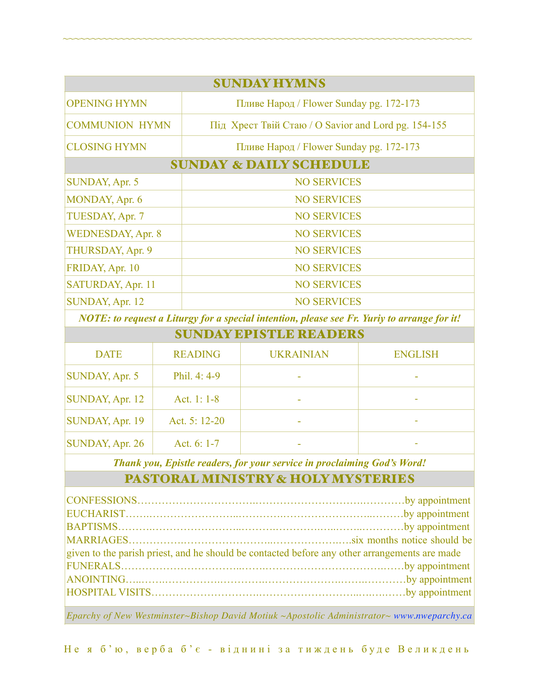| <b>SUNDAY HYMNS</b>                |                                                     |  |  |  |
|------------------------------------|-----------------------------------------------------|--|--|--|
| <b>OPENING HYMN</b>                | Пливе Народ / Flower Sunday pg. 172-173             |  |  |  |
| <b>COMMUNION HYMN</b>              | Під Хрест Твій Стаю / О Savior and Lord pg. 154-155 |  |  |  |
| <b>CLOSING HYMN</b>                | Пливе Народ / Flower Sunday pg. 172-173             |  |  |  |
| <b>SUNDAY &amp; DAILY SCHEDULE</b> |                                                     |  |  |  |
| <b>SUNDAY, Apr. 5</b>              | <b>NO SERVICES</b>                                  |  |  |  |
| MONDAY, Apr. 6                     | <b>NO SERVICES</b>                                  |  |  |  |
| TUESDAY, Apr. 7                    | <b>NO SERVICES</b>                                  |  |  |  |
| <b>WEDNESDAY, Apr. 8</b>           | <b>NO SERVICES</b>                                  |  |  |  |
| THURSDAY, Apr. 9                   | <b>NO SERVICES</b>                                  |  |  |  |
| FRIDAY, Apr. 10                    | <b>NO SERVICES</b>                                  |  |  |  |
| SATURDAY, Apr. 11                  | <b>NO SERVICES</b>                                  |  |  |  |
| SUNDAY, Apr. 12                    | <b>NO SERVICES</b>                                  |  |  |  |

~~~~~~~~~~~~~~~~~~~~~~~~~~~~~~~~~~~~~~~~~~~~~~~~~~~~~~~~~~~~~~~~~~~~~~~~

*NOTE: to request a Liturgy for a special intention, please see Fr. Yuriy to arrange for it!*

| <b>SUNDAY EPISTLE READERS</b> |                 |                  |                |
|-------------------------------|-----------------|------------------|----------------|
| <b>DATE</b>                   | <b>READING</b>  | <b>UKRAINIAN</b> | <b>ENGLISH</b> |
| SUNDAY, Apr. 5                | Phil. 4: 4-9    |                  |                |
| SUNDAY, Apr. 12               | Act. 1: $1-8$   |                  | ۰              |
| SUNDAY, Apr. 19               | Act. $5: 12-20$ |                  |                |
| SUNDAY, Apr. 26               | Act. 6: 1-7     |                  |                |

*Thank you, Epistle readers, for your service in proclaiming God's Word!*

# PASTORAL MINISTRY & HOLY MYSTERIES

| given to the parish priest, and he should be contacted before any other arrangements are made |  |  |
|-----------------------------------------------------------------------------------------------|--|--|
|                                                                                               |  |  |
|                                                                                               |  |  |
|                                                                                               |  |  |
|                                                                                               |  |  |

*Eparchy of New Westminster~Bishop David Motiuk ~Apostolic Administrator~ [www.nweparchy.ca](http://www.nweparchy.ca)*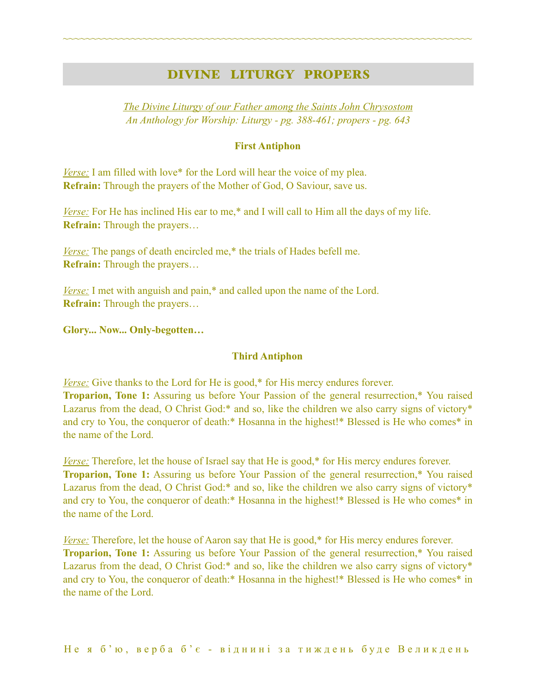# DIVINE LITURGY PROPERS

~~~~~~~~~~~~~~~~~~~~~~~~~~~~~~~~~~~~~~~~~~~~~~~~~~~~~~~~~~~~~~~~~~~~~~~~

*The Divine Liturgy of our Father among the Saints John Chrysostom An Anthology for Worship: Liturgy - pg. 388-461; propers - pg. 643* 

#### **First Antiphon**

*Verse:* I am filled with love\* for the Lord will hear the voice of my plea. **Refrain:** Through the prayers of the Mother of God, O Saviour, save us.

*Verse:* For He has inclined His ear to me,\* and I will call to Him all the days of my life. **Refrain:** Through the prayers…

*<u>Verse:</u>* The pangs of death encircled me,<sup>\*</sup> the trials of Hades befell me. **Refrain:** Through the prayers…

*<u>Verse:</u>* I met with anguish and pain,<sup>\*</sup> and called upon the name of the Lord. **Refrain:** Through the prayers…

**Glory... Now... Only-begotten…** 

#### **Third Antiphon**

*Verse:* Give thanks to the Lord for He is good,\* for His mercy endures forever. **Troparion, Tone 1:** Assuring us before Your Passion of the general resurrection,\* You raised Lazarus from the dead, O Christ God:\* and so, like the children we also carry signs of victory\* and cry to You, the conqueror of death:\* Hosanna in the highest!\* Blessed is He who comes\* in the name of the Lord.

*Verse:* Therefore, let the house of Israel say that He is good,\* for His mercy endures forever. **Troparion, Tone 1:** Assuring us before Your Passion of the general resurrection,\* You raised Lazarus from the dead, O Christ God:\* and so, like the children we also carry signs of victory\* and cry to You, the conqueror of death:\* Hosanna in the highest!\* Blessed is He who comes\* in the name of the Lord.

*Verse:* Therefore, let the house of Aaron say that He is good,\* for His mercy endures forever. **Troparion, Tone 1:** Assuring us before Your Passion of the general resurrection,\* You raised Lazarus from the dead, O Christ God:\* and so, like the children we also carry signs of victory\* and cry to You, the conqueror of death:\* Hosanna in the highest!\* Blessed is He who comes\* in the name of the Lord.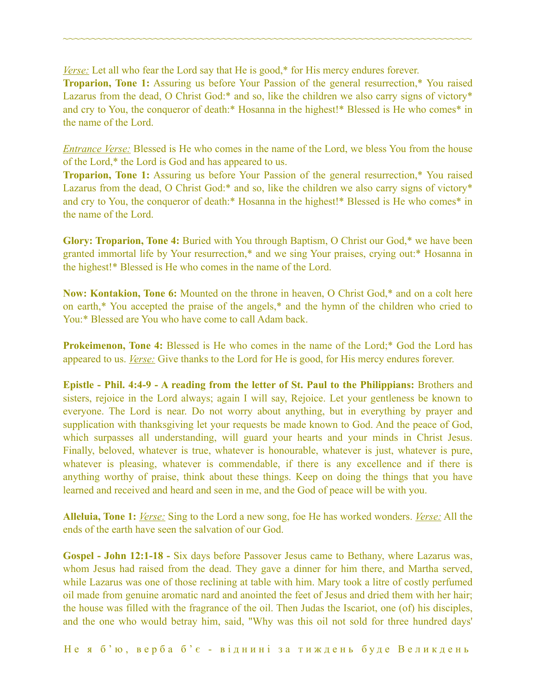*Verse:* Let all who fear the Lord say that He is good,<sup>\*</sup> for His mercy endures forever.

**Troparion, Tone 1:** Assuring us before Your Passion of the general resurrection,\* You raised Lazarus from the dead, O Christ God:\* and so, like the children we also carry signs of victory\* and cry to You, the conqueror of death:\* Hosanna in the highest!\* Blessed is He who comes\* in the name of the Lord.

~~~~~~~~~~~~~~~~~~~~~~~~~~~~~~~~~~~~~~~~~~~~~~~~~~~~~~~~~~~~~~~~~~~~~~~~

*Entrance Verse:* Blessed is He who comes in the name of the Lord, we bless You from the house of the Lord,\* the Lord is God and has appeared to us.

**Troparion, Tone 1:** Assuring us before Your Passion of the general resurrection,\* You raised Lazarus from the dead, O Christ God:\* and so, like the children we also carry signs of victory\* and cry to You, the conqueror of death:\* Hosanna in the highest!\* Blessed is He who comes\* in the name of the Lord.

**Glory: Troparion, Tone 4:** Buried with You through Baptism, O Christ our God,\* we have been granted immortal life by Your resurrection,\* and we sing Your praises, crying out:\* Hosanna in the highest!\* Blessed is He who comes in the name of the Lord.

**Now: Kontakion, Tone 6:** Mounted on the throne in heaven, O Christ God,\* and on a colt here on earth,\* You accepted the praise of the angels,\* and the hymn of the children who cried to You:\* Blessed are You who have come to call Adam back.

**Prokeimenon, Tone 4:** Blessed is He who comes in the name of the Lord;\* God the Lord has appeared to us. *Verse:* Give thanks to the Lord for He is good, for His mercy endures forever.

**Epistle - Phil. 4:4-9 - A reading from the letter of St. Paul to the Philippians:** Brothers and sisters, rejoice in the Lord always; again I will say, Rejoice. Let your gentleness be known to everyone. The Lord is near. Do not worry about anything, but in everything by prayer and supplication with thanksgiving let your requests be made known to God. And the peace of God, which surpasses all understanding, will guard your hearts and your minds in Christ Jesus. Finally, beloved, whatever is true, whatever is honourable, whatever is just, whatever is pure, whatever is pleasing, whatever is commendable, if there is any excellence and if there is anything worthy of praise, think about these things. Keep on doing the things that you have learned and received and heard and seen in me, and the God of peace will be with you.

**Alleluia, Tone 1:** *Verse:* Sing to the Lord a new song, foe He has worked wonders. *Verse:* All the ends of the earth have seen the salvation of our God.

**Gospel - John 12:1-18 -** Six days before Passover Jesus came to Bethany, where Lazarus was, whom Jesus had raised from the dead. They gave a dinner for him there, and Martha served, while Lazarus was one of those reclining at table with him. Mary took a litre of costly perfumed oil made from genuine aromatic nard and anointed the feet of Jesus and dried them with her hair; the house was filled with the fragrance of the oil. Then Judas the Iscariot, one (of) his disciples, and the one who would betray him, said, "Why was this oil not sold for three hundred days'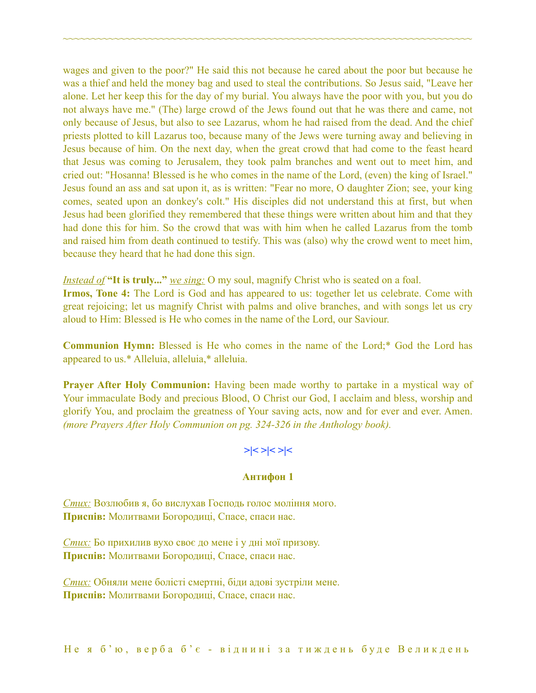wages and given to the poor?" He said this not because he cared about the poor but because he was a thief and held the money bag and used to steal the contributions. So Jesus said, "Leave her alone. Let her keep this for the day of my burial. You always have the poor with you, but you do not always have me." (The) large crowd of the Jews found out that he was there and came, not only because of Jesus, but also to see Lazarus, whom he had raised from the dead. And the chief priests plotted to kill Lazarus too, because many of the Jews were turning away and believing in Jesus because of him. On the next day, when the great crowd that had come to the feast heard that Jesus was coming to Jerusalem, they took palm branches and went out to meet him, and cried out: "Hosanna! Blessed is he who comes in the name of the Lord, (even) the king of Israel." Jesus found an ass and sat upon it, as is written: "Fear no more, O daughter Zion; see, your king comes, seated upon an donkey's colt." His disciples did not understand this at first, but when Jesus had been glorified they remembered that these things were written about him and that they had done this for him. So the crowd that was with him when he called Lazarus from the tomb and raised him from death continued to testify. This was (also) why the crowd went to meet him, because they heard that he had done this sign.

~~~~~~~~~~~~~~~~~~~~~~~~~~~~~~~~~~~~~~~~~~~~~~~~~~~~~~~~~~~~~~~~~~~~~~~~

*Instead of* **"It is truly..."** *we sing:* O my soul, magnify Christ who is seated on a foal. **Irmos, Tone 4:** The Lord is God and has appeared to us: together let us celebrate. Come with great rejoicing; let us magnify Christ with palms and olive branches, and with songs let us cry aloud to Him: Blessed is He who comes in the name of the Lord, our Saviour.

**Communion Hymn:** Blessed is He who comes in the name of the Lord;\* God the Lord has appeared to us.\* Alleluia, alleluia,\* alleluia.

**Prayer After Holy Communion:** Having been made worthy to partake in a mystical way of Your immaculate Body and precious Blood, O Christ our God, I acclaim and bless, worship and glorify You, and proclaim the greatness of Your saving acts, now and for ever and ever. Amen. *(more Prayers After Holy Communion on pg. 324-326 in the Anthology book).* 

## **>|< >|< >|<**

#### **Антифон 1**

*Стих:* Возлюбив я, бо вислухав Господь голос моління мого. **Приспів:** Молитвами Богородиці, Спасе, спаси нас.

*Стих:* Бо прихилив вухо своє до мене і у дні мої призову. **Приспів:** Молитвами Богородиці, Спасе, спаси нас.

*Стих:* Обняли мене болісті смертні, біди адові зустріли мене. **Приспів:** Молитвами Богородиці, Спасе, спаси нас.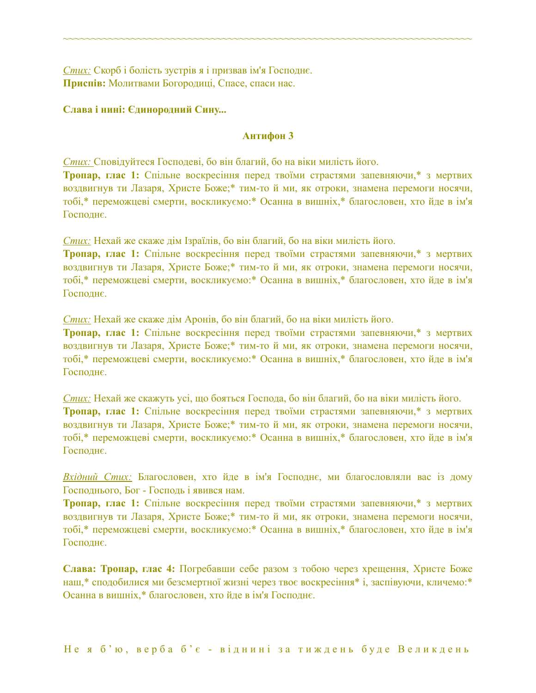*Стих:* Скорб і болість зустрів я і призвав ім'я Господнє. **Приспів:** Молитвами Богородиці, Спасе, спаси нас.

#### **Слава і нині: Єдинородний Сину...**

#### **Антифон 3**

~~~~~~~~~~~~~~~~~~~~~~~~~~~~~~~~~~~~~~~~~~~~~~~~~~~~~~~~~~~~~~~~~~~~~~~~

*Стих:* Сповідуйтеся Господеві, бо він благий, бо на віки милість його.

**Тропар, глас 1:** Спільне воскресіння перед твоїми страстями запевняючи,\* з мертвих воздвигнув ти Лазаря, Христе Боже;\* тим-то й ми, як отроки, знамена перемоги носячи, тобі,\* переможцеві смерти, воскликуємо:\* Осанна в вишніх,\* благословен, хто йде в ім'я Господнє.

*Стих:* Нехай же скаже дім Ізраїлів, бо він благий, бо на віки милість його.

**Тропар, глас 1:** Спільне воскресіння перед твоїми страстями запевняючи,\* з мертвих воздвигнув ти Лазаря, Христе Боже;\* тим-то й ми, як отроки, знамена перемоги носячи, тобі,\* переможцеві смерти, воскликуємо:\* Осанна в вишніх,\* благословен, хто йде в ім'я Господнє.

*Стих:* Нехай же скаже дім Аронів, бо він благий, бо на віки милість його.

**Тропар, глас 1:** Спільне воскресіння перед твоїми страстями запевняючи,\* з мертвих воздвигнув ти Лазаря, Христе Боже;\* тим-то й ми, як отроки, знамена перемоги носячи, тобі,\* переможцеві смерти, воскликуємо:\* Осанна в вишніх,\* благословен, хто йде в ім'я Господнє.

*Стих:* Нехай же скажуть усі, що бояться Господа, бо він благий, бо на віки милість його. **Тропар, глас 1:** Спільне воскресіння перед твоїми страстями запевняючи,\* з мертвих воздвигнув ти Лазаря, Христе Боже;\* тим-то й ми, як отроки, знамена перемоги носячи, тобі,\* переможцеві смерти, воскликуємо:\* Осанна в вишніх,\* благословен, хто йде в ім'я Господнє.

*Вхідний Стих:* Благословен, хто йде в ім'я Господнє, ми благословляли вас із дому Господнього, Бог - Господь і явився нам.

**Тропар, глас 1:** Спільне воскресіння перед твоїми страстями запевняючи,\* з мертвих воздвигнув ти Лазаря, Христе Боже;\* тим-то й ми, як отроки, знамена перемоги носячи, тобі,\* переможцеві смерти, воскликуємо:\* Осанна в вишніх,\* благословен, хто йде в ім'я Господнє.

**Слава: Тропар, глас 4:** Погребавши себе разом з тобою через хрещення, Христе Боже наш,\* сподобилися ми безсмертної жизні через твоє воскресіння\* і, заспівуючи, кличемо:\* Осанна в вишніх,\* благословен, хто йде в ім'я Господнє.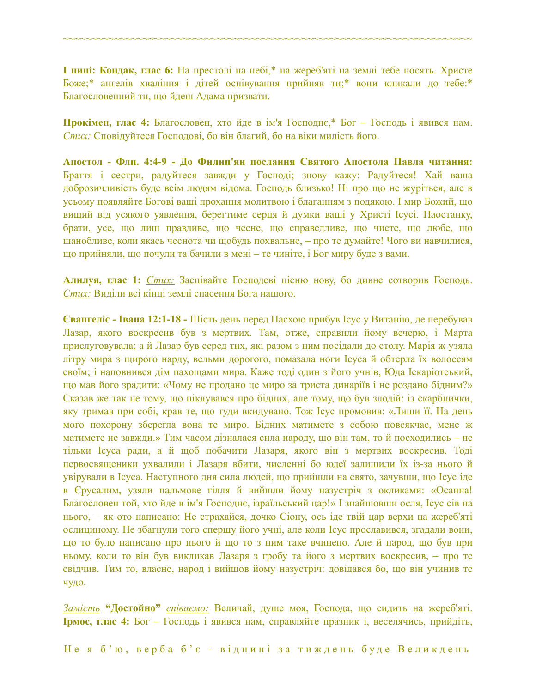**І нині: Кондак, глас 6:** На престолі на небі,\* на жереб'яті на землі тебе носять. Христе Боже;\* ангелів хваління і дітей оспівування прийняв ти;\* вони кликали до тебе:\* Благословенний ти, що йдеш Адама призвати.

~~~~~~~~~~~~~~~~~~~~~~~~~~~~~~~~~~~~~~~~~~~~~~~~~~~~~~~~~~~~~~~~~~~~~~~~

**Прокімен, глас 4:** Благословен, хто йде в ім'я Господнє,\* Бог – Господь і явився нам. *Стих:* Сповідуйтеся Господові, бо він благий, бо на віки милість його.

**Апостол - Флп. 4:4-9 - До Филип'ян послання Святого Апостола Павла читання:** Браття і сестри, радуйтеся завжди у Господі; знову кажу: Радуйтеся! Хай ваша доброзичливість буде всім людям відома. Господь близько! Ні про що не журіться, але в усьому появляйте Богові ваші прохання молитвою і благанням з подякою. І мир Божий, що вищий від усякого уявлення, берегтиме серця й думки ваші у Христі Ісусі. Наостанку, брати, усе, що лиш правдиве, що чесне, що справедливе, що чисте, що любе, що шанобливе, коли якась чеснота чи щобудь похвальне, – про те думайте! Чого ви навчилися, що прийняли, що почули та бачили в мені – те чиніте, і Бог миру буде з вами.

**Алилуя, глас 1:** *Стих:* Заспівайте Господеві пісню нову, бо дивне сотворив Господь. *Стих:* Виділи всі кінці землі спасення Бога нашого.

**Євангеліє - Івана 12:1-18 -** Шість день перед Пасхою прибув Ісус у Витанію, де перебував Лазар, якого воскресив був з мертвих. Там, отже, справили йому вечерю, і Марта прислуговувала; а й Лазар був серед тих, які разом з ним посідали до столу. Марія ж узяла літру мира з щирого нарду, вельми дорогого, помазала ноги Ісуса й обтерла їх волоссям своїм; і наповнився дім пахощами мира. Каже тоді один з його учнів, Юда Іскаріотський, що мав його зрадити: «Чому не продано це миро за триста динаріїв і не роздано бідним?» Сказав же так не тому, що піклувався про бідних, але тому, що був злодій: із скарбнички, яку тримав при собі, крав те, що туди вкидувано. Тож Ісус промовив: «Лиши її. На день мого похорону зберегла вона те миро. Бідних матимете з собою повсякчас, мене ж матимете не завжди.» Тим часом дізналася сила народу, що він там, то й посходились – не тільки Ісуса ради, а й щоб побачити Лазаря, якого він з мертвих воскресив. Тоді первосвященики ухвалили і Лазаря вбити, численні бо юдеї залишили їх із-за нього й увірували в Ісуса. Наступного дня сила людей, що прийшли на свято, зачувши, що Ісус іде в Єрусалим, узяли пальмове гілля й вийшли йому назустріч з окликами: «Осанна! Благословен той, хто йде в ім'я Господнє, ізраїльський цар!» І знайшовши осля, Ісус сів на нього, – як ото написано: Не страхайся, дочко Сіону, ось іде твій цар верхи на жереб'яті ослициному. Не збагнули того спершу його учні, але коли Ісус прославився, згадали вони, що то було написано про нього й що то з ним таке вчинено. Але й народ, що був при ньому, коли то він був викликав Лазаря з гробу та його з мертвих воскресив, – про те свідчив. Тим то, власне, народ і вийшов йому назустріч: довідався бо, що він учинив те чудо.

*Замість* **"Достойно"** *співаємо:* Величай, душе моя, Господа, що сидить на жереб'яті. **Ірмос, глас 4:** Бог – Господь і явився нам, справляйте празник і, веселячись, прийдіть,

Не я б'ю, верба б'є - віднині за тиждень буде Великдень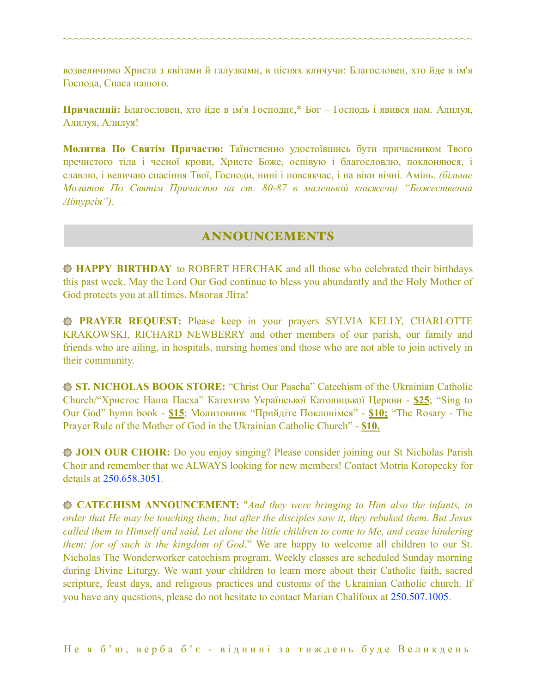возвеличимо Христа з квітами й галузками, в піснях кличучи: Благословен, хто йде в ім'я Господа, Спаса нашого.

~~~~~~~~~~~~~~~~~~~~~~~~~~~~~~~~~~~~~~~~~~~~~~~~~~~~~~~~~~~~~~~~~~~~~~~~

**Причасний:** Благословен, хто йде в ім'я Господнє,\* Бог – Господь і явився нам. Алилуя, Алилуя, Алилуя!

**Молитва По Святім Причастю:** Таїнственно удостоївшись бути причасником Твого пречистого тіла і чесної крови, Христе Боже, оспівую і благословлю, поклоняюся, і славлю, і величаю спасіння Твої, Господи, нині і повсякчас, і на віки вічні. Амінь. *(більше Молитов По Святім Причастю на ст. 80-87 в маленькій книжечці "Божественна Літургія")*.

# ANNOUNCEMENTS

**HAPPY BIRTHDAY** to ROBERT HERCHAK and all those who celebrated their birthdays this past week. May the Lord Our God continue to bless you abundantly and the Holy Mother of God protects you at all times. Многая Літа!

**PRAYER REQUEST:** Please keep in your prayers SYLVIA KELLY, CHARLOTTE KRAKOWSKI, RICHARD NEWBERRY and other members of our parish, our family and friends who are ailing, in hospitals, nursing homes and those who are not able to join actively in their community.

**ST. NICHOLAS BOOK STORE:** "Christ Our Pascha" Catechism of the Ukrainian Catholic Church/"Христос Наша Пасха" Катехизм Української Католицької Церкви - **\$25**; "Sing to Our God" hymn book - **\$15**; Молитовник "Прийдіте Поклонімся" - **\$10;** "The Rosary - The Prayer Rule of the Mother of God in the Ukrainian Catholic Church" - **\$10.** 

**JOIN OUR CHOIR:** Do you enjoy singing? Please consider joining our St Nicholas Parish Choir and remember that we ALWAYS looking for new members! Contact Motria Koropecky for details at 250.658.3051.

**CATECHISM ANNOUNCEMENT:** "*And they were bringing to Him also the infants, in order that He may be touching them; but after the disciples saw it, they rebuked them. But Jesus called them to Himself and said, Let alone the little children to come to Me, and cease hindering them; for of such is the kingdom of God*." We are happy to welcome all children to our St. Nicholas The Wonderworker catechism program. Weekly classes are scheduled Sunday morning during Divine Liturgy. We want your children to learn more about their Catholic faith, sacred scripture, feast days, and religious practices and customs of the Ukrainian Catholic church. If you have any questions, please do not hesitate to contact Marian Chalifoux at 250.507.1005.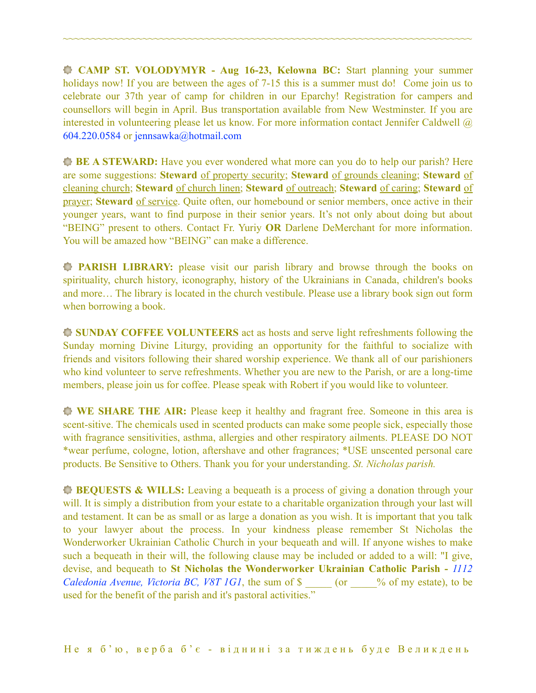**CAMP ST. VOLODYMYR - Aug 16-23, Kelowna BC:** Start planning your summer holidays now! If you are between the ages of 7-15 this is a summer must do! Come join us to celebrate our 37th year of camp for children in our Eparchy! Registration for campers and counsellors will begin in April. Bus transportation available from New Westminster. If you are interested in volunteering please let us know. For more information contact Jennifer Caldwell @ 604.220.0584 or [jennsawka@hotmail.com](mailto:jennsawka@hotmail.com)

~~~~~~~~~~~~~~~~~~~~~~~~~~~~~~~~~~~~~~~~~~~~~~~~~~~~~~~~~~~~~~~~~~~~~~~~

**BE A STEWARD:** Have you ever wondered what more can you do to help our parish? Here are some suggestions: **Steward** of property security; **Steward** of grounds cleaning; **Steward** of cleaning church; **Steward** of church linen; **Steward** of outreach; **Steward** of caring; **Steward** of prayer; **Steward** of service. Quite often, our homebound or senior members, once active in their younger years, want to find purpose in their senior years. It's not only about doing but about "BEING" present to others. Contact Fr. Yuriy **OR** Darlene DeMerchant for more information. You will be amazed how "BEING" can make a difference.

**PARISH LIBRARY:** please visit our parish library and browse through the books on spirituality, church history, iconography, history of the Ukrainians in Canada, children's books and more… The library is located in the church vestibule. Please use a library book sign out form when borrowing a book.

**SUNDAY COFFEE VOLUNTEERS** act as hosts and serve light refreshments following the Sunday morning Divine Liturgy, providing an opportunity for the faithful to socialize with friends and visitors following their shared worship experience. We thank all of our parishioners who kind volunteer to serve refreshments. Whether you are new to the Parish, or are a long-time members, please join us for coffee. Please speak with Robert if you would like to volunteer.

**WE SHARE THE AIR:** Please keep it healthy and fragrant free. Someone in this area is scent-sitive. The chemicals used in scented products can make some people sick, especially those with fragrance sensitivities, asthma, allergies and other respiratory ailments. PLEASE DO NOT \*wear perfume, cologne, lotion, aftershave and other fragrances; \*USE unscented personal care products. Be Sensitive to Others. Thank you for your understanding. *St. Nicholas parish.* 

**BEQUESTS & WILLS:** Leaving a bequeath is a process of giving a donation through your will. It is simply a distribution from your estate to a charitable organization through your last will and testament. It can be as small or as large a donation as you wish. It is important that you talk to your lawyer about the process. In your kindness please remember St Nicholas the Wonderworker Ukrainian Catholic Church in your bequeath and will. If anyone wishes to make such a bequeath in their will, the following clause may be included or added to a will: "I give, devise, and bequeath to **St Nicholas the Wonderworker Ukrainian Catholic Parish -** *1112 Caledonia Avenue, Victoria BC, V8T 1G1*, the sum of \$ \_\_\_\_\_ (or \_\_\_\_% of my estate), to be used for the benefit of the parish and it's pastoral activities."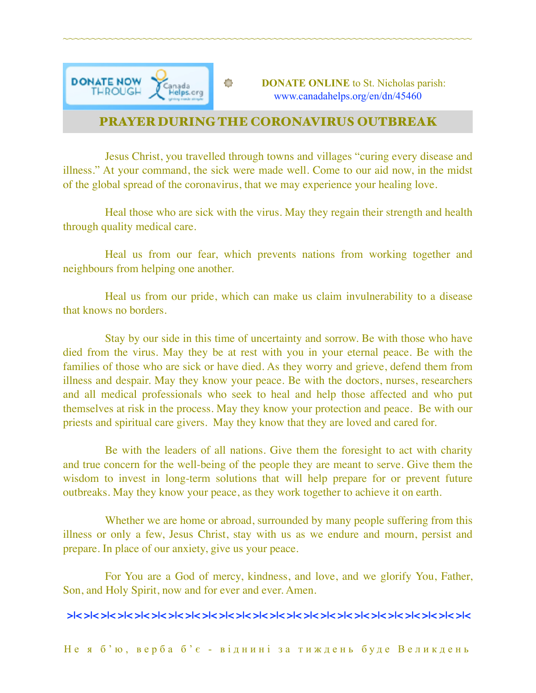

# PRAYER DURING THE CORONAVIRUS OUTBREAK

~~~~~~~~~~~~~~~~~~~~~~~~~~~~~~~~~~~~~~~~~~~~~~~~~~~~~~~~~~~~~~~~~~~~~~~~

Jesus Christ, you travelled through towns and villages "curing every disease and illness." At your command, the sick were made well. Come to our aid now, in the midst of the global spread of the coronavirus, that we may experience your healing love.

Heal those who are sick with the virus. May they regain their strength and health through quality medical care.

Heal us from our fear, which prevents nations from working together and neighbours from helping one another.

Heal us from our pride, which can make us claim invulnerability to a disease that knows no borders.

Stay by our side in this time of uncertainty and sorrow. Be with those who have died from the virus. May they be at rest with you in your eternal peace. Be with the families of those who are sick or have died. As they worry and grieve, defend them from illness and despair. May they know your peace. Be with the doctors, nurses, researchers and all medical professionals who seek to heal and help those affected and who put themselves at risk in the process. May they know your protection and peace. Be with our priests and spiritual care givers. May they know that they are loved and cared for.

Be with the leaders of all nations. Give them the foresight to act with charity and true concern for the well-being of the people they are meant to serve. Give them the wisdom to invest in long-term solutions that will help prepare for or prevent future outbreaks. May they know your peace, as they work together to achieve it on earth.

Whether we are home or abroad, surrounded by many people suffering from this illness or only a few, Jesus Christ, stay with us as we endure and mourn, persist and prepare. In place of our anxiety, give us your peace.

For You are a God of mercy, kindness, and love, and we glorify You, Father, Son, and Holy Spirit, now and for ever and ever. Amen.

## **>|< >|< >|< >|< >|< >|< >|< >|< >|< >|< >|< >|< >|< >|< >|< >|< >|< >|< >|< >|< >|< >|< >|< >|<**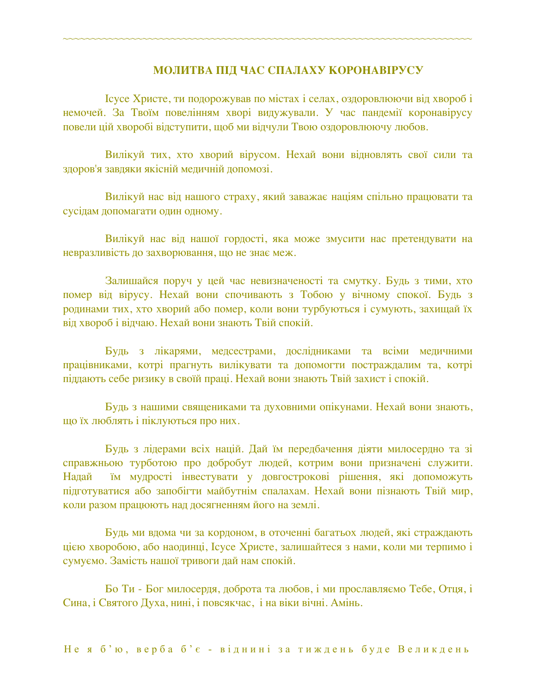#### **МОЛИТВА ПІД ЧАС СПАЛАХУ КОРОНАВІРУСУ**

Ісусе Христе, ти подорожував по містах і селах, оздоровлюючи від хвороб і немочей. За Твоїм повелінням хворі видужували. У час пандемії коронавірусу повели цій хворобі відступити, щоб ми відчули Твою оздоровлюючу любов.

~~~~~~~~~~~~~~~~~~~~~~~~~~~~~~~~~~~~~~~~~~~~~~~~~~~~~~~~~~~~~~~~~~~~~~~~

Вилікуй тих, хто хворий вірусом. Нехай вони відновлять свої сили та здоров'я завдяки якісній медичній допомозі.

Вилікуй нас від нашого страху, який заважає націям спільно працювати та сусідам допомагати один одному.

Вилікуй нас від нашої гордості, яка може змусити нас претендувати на невразливість до захворювання, що не знає меж.

Залишайся поруч у цей час невизначеності та смутку. Будь з тими, хто помер від вірусу. Нехай вони спочивають з Тобою у вічному спокої. Будь з родинами тих, хто хворий або помер, коли вони турбуються і сумують, захищай їх від хвороб і відчаю. Нехай вони знають Твій спокій.

Будь з лікарями, медсестрами, дослідниками та всіми медичними працівниками, котрі прагнуть вилікувати та допомогти постраждалим та, котрі піддають себе ризику в своїй праці. Нехай вони знають Твій захист і спокій.

Будь з нашими священиками та духовними опікунами. Нехай вони знають, що їх люблять і піклуються про них.

Будь з лідерами всіх націй. Дай їм передбачення діяти милосердно та зі справжньою турботою про добробут людей, котрим вони призначені служити. Надай їм мудрості інвестувати у довгострокові рішення, які допоможуть підготуватися або запобігти майбутнім спалахам. Нехай вони пізнають Твій мир, коли разом працюють над досягненням його на землі.

Будь ми вдома чи за кордоном, в оточенні багатьох людей, які страждають цією хворобою, або наодинці, Ісусе Христе, залишайтеся з нами, коли ми терпимо і сумуємо. Замість нашої тривоги дай нам спокій.

Бо Ти - Бог милосердя, доброта та любов, і ми прославляємо Тебе, Отця, і Сина, і Святого Духа, нині, і повсякчас, і на віки вічні. Амінь.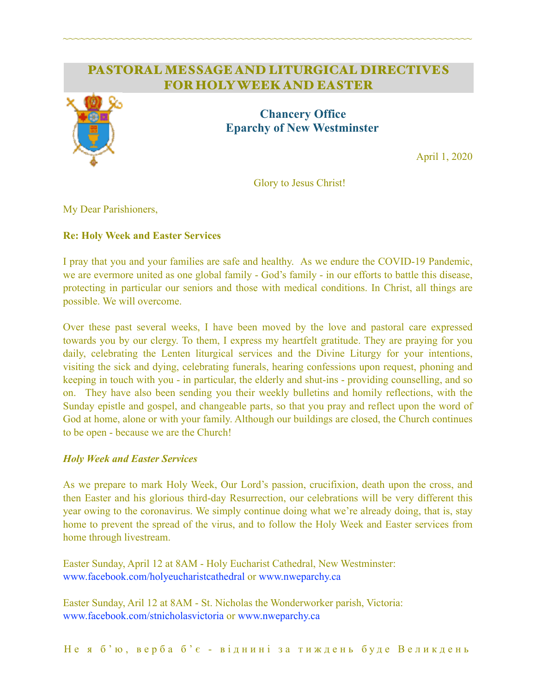# PASTORAL MESSAGE AND LITURGICAL DIRECTIVES FOR HOLY WEEK AND EASTER

~~~~~~~~~~~~~~~~~~~~~~~~~~~~~~~~~~~~~~~~~~~~~~~~~~~~~~~~~~~~~~~~~~~~~~~~



# **Chancery Office Eparchy of New Westminster**

April 1, 2020

Glory to Jesus Christ!

My Dear Parishioners,

## **Re: Holy Week and Easter Services**

I pray that you and your families are safe and healthy. As we endure the COVID-19 Pandemic, we are evermore united as one global family - God's family - in our efforts to battle this disease, protecting in particular our seniors and those with medical conditions. In Christ, all things are possible. We will overcome.

Over these past several weeks, I have been moved by the love and pastoral care expressed towards you by our clergy. To them, I express my heartfelt gratitude. They are praying for you daily, celebrating the Lenten liturgical services and the Divine Liturgy for your intentions, visiting the sick and dying, celebrating funerals, hearing confessions upon request, phoning and keeping in touch with you - in particular, the elderly and shut-ins - providing counselling, and so on. They have also been sending you their weekly bulletins and homily reflections, with the Sunday epistle and gospel, and changeable parts, so that you pray and reflect upon the word of God at home, alone or with your family. Although our buildings are closed, the Church continues to be open - because we are the Church!

## *Holy Week and Easter Services*

As we prepare to mark Holy Week, Our Lord's passion, crucifixion, death upon the cross, and then Easter and his glorious third-day Resurrection, our celebrations will be very different this year owing to the coronavirus. We simply continue doing what we're already doing, that is, stay home to prevent the spread of the virus, and to follow the Holy Week and Easter services from home through livestream.

Easter Sunday, April 12 at 8AM - Holy Eucharist Cathedral, New Westminster: [www.facebook.com/holyeucharistcathedral](http://www.facebook.com/holyeucharistcathedral) or [www.nweparchy.ca](http://www.nweparchy.ca)

Easter Sunday, Aril 12 at 8AM - St. Nicholas the Wonderworker parish, Victoria: [www.facebook.com/stnicholasvictoria](http://www.facebook.com/stnicholasvictoria) or [www.nweparchy.ca](http://www.nweparchy.ca)

Не я б'ю, верба б'є - віднині за тиждень буде Великдень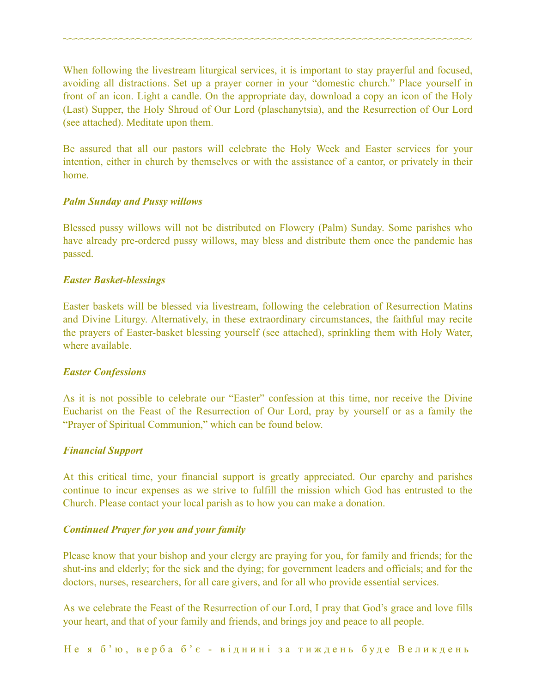When following the livestream liturgical services, it is important to stay prayerful and focused, avoiding all distractions. Set up a prayer corner in your "domestic church." Place yourself in front of an icon. Light a candle. On the appropriate day, download a copy an icon of the Holy (Last) Supper, the Holy Shroud of Our Lord (plaschanytsia), and the Resurrection of Our Lord (see attached). Meditate upon them.

~~~~~~~~~~~~~~~~~~~~~~~~~~~~~~~~~~~~~~~~~~~~~~~~~~~~~~~~~~~~~~~~~~~~~~~~

Be assured that all our pastors will celebrate the Holy Week and Easter services for your intention, either in church by themselves or with the assistance of a cantor, or privately in their home.

#### *Palm Sunday and Pussy willows*

Blessed pussy willows will not be distributed on Flowery (Palm) Sunday. Some parishes who have already pre-ordered pussy willows, may bless and distribute them once the pandemic has passed.

#### *Easter Basket-blessings*

Easter baskets will be blessed via livestream, following the celebration of Resurrection Matins and Divine Liturgy. Alternatively, in these extraordinary circumstances, the faithful may recite the prayers of Easter-basket blessing yourself (see attached), sprinkling them with Holy Water, where available

#### *Easter Confessions*

As it is not possible to celebrate our "Easter" confession at this time, nor receive the Divine Eucharist on the Feast of the Resurrection of Our Lord, pray by yourself or as a family the "Prayer of Spiritual Communion," which can be found below.

#### *Financial Support*

At this critical time, your financial support is greatly appreciated. Our eparchy and parishes continue to incur expenses as we strive to fulfill the mission which God has entrusted to the Church. Please contact your local parish as to how you can make a donation.

## *Continued Prayer for you and your family*

Please know that your bishop and your clergy are praying for you, for family and friends; for the shut-ins and elderly; for the sick and the dying; for government leaders and officials; and for the doctors, nurses, researchers, for all care givers, and for all who provide essential services.

As we celebrate the Feast of the Resurrection of our Lord, I pray that God's grace and love fills your heart, and that of your family and friends, and brings joy and peace to all people.

Не я б'ю, верба б'є - віднині за тиждень буде Великдень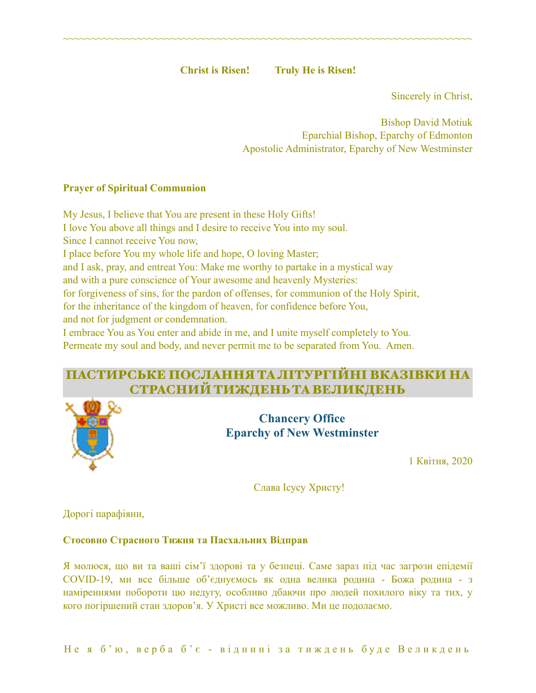**Christ is Risen! Truly He is Risen!** 

~~~~~~~~~~~~~~~~~~~~~~~~~~~~~~~~~~~~~~~~~~~~~~~~~~~~~~~~~~~~~~~~~~~~~~~~

Sincerely in Christ,

Bishop David Motiuk Eparchial Bishop, Eparchy of Edmonton Apostolic Administrator, Eparchy of New Westminster

## **Prayer of Spiritual Communion**

My Jesus, I believe that You are present in these Holy Gifts! I love You above all things and I desire to receive You into my soul. Since I cannot receive You now, I place before You my whole life and hope, O loving Master; and I ask, pray, and entreat You: Make me worthy to partake in a mystical way and with a pure conscience of Your awesome and heavenly Mysteries: for forgiveness of sins, for the pardon of offenses, for communion of the Holy Spirit, for the inheritance of the kingdom of heaven, for confidence before You, and not for judgment or condemnation. I embrace You as You enter and abide in me, and I unite myself completely to You. Permeate my soul and body, and never permit me to be separated from You. Amen.

# ПАСТИРСЬКЕ ПОСЛАННЯ ТАЛІТУРГІЙНІ ВКАЗІВКИ НА СТРАСНИЙТИЖДЕНЬТАВЕЛИКДЕНЬ



**Chancery Office Eparchy of New Westminster** 

1 Квітня, 2020

Слава Ісусу Христу!

Дорогі парафіяни,

## **Стосовно Страсного Тижня та Пасхальних Відправ**

Я молюся, що ви та ваші сім'ї здорові та у безпеці. Саме зараз під час загрози епідемії COVID-19, ми все більше об'єднуємось як одна велика родина - Божа родина - з наміреннями побороти цю недугу, особливо дбаючи про людей похилого віку та тих, у кого погіршений стан здоров'я. У Христі все можливо. Ми це подолаємо.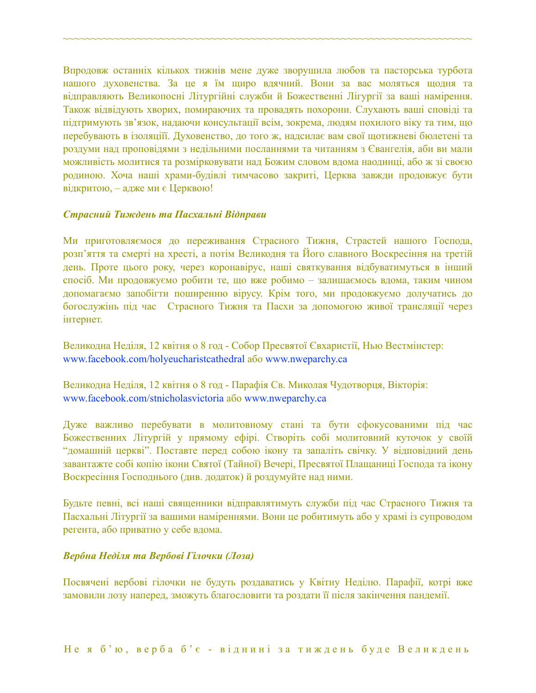Впродовж останніх кількох тижнів мене дуже зворушила любов та пасторська турбота нашого духовенства. За це я їм щиро вдячний. Вони за вас моляться щодня та відправляють Великопосні Літургійні служби й Божественні Лігургії за ваші намірення. Також відвідують хворих, помираючих та провадять похорони. Слухають ваші сповіді та підтримують зв'язок, надаючи консультації всім, зокрема, людям похилого віку та тим, що перебувають в ізоляціїї. Духовенство, до того ж, надсилає вам свої щотижневі бюлетені та роздуми над проповідями з недільними посланнями та читанням з Євангелія, аби ви мали можливість молитися та розмірковувати над Божим словом вдома наодинці, або ж зі своєю родиною. Хоча наші храми-будівлі тимчасово закриті, Церква завжди продовжує бути відкритою, – адже ми є Церквою!

~~~~~~~~~~~~~~~~~~~~~~~~~~~~~~~~~~~~~~~~~~~~~~~~~~~~~~~~~~~~~~~~~~~~~~~~

#### *Страсний Тиждень та Пасхальні Відправи*

Ми приготовляємося до переживання Страсного Тижня, Страстей нашого Господа, розп'яття та смерті на хресті, а потім Великодня та Його славного Воскресіння на третій день. Проте цього року, через коронавірус, наші святкування відбуватимуться в інший спосіб. Ми продовжуємо робити те, що вже робимо – залишаємось вдома, таким чином допомагаємо запобігти поширенню вірусу. Крім того, ми продовжуємо долучатись до богослужінь під час Страсного Тижня та Пасхи за допомогою живої трансляції через інтернет.

Великодна Неділя, 12 квітня о 8 год - Собор Пресвятої Євхаристії, Нью Вестмінстер: [www.facebook.com/holyeucharistcathedral](http://www.facebook.com/holyeucharistcathedral) або [www.nweparchy.ca](http://www.nweparchy.ca)

Великодна Неділя, 12 квітня о 8 год - Парафія Св. Миколая Чудотворця, Вікторія: [www.facebook.com/stnicholasvictoria](http://www.facebook.com/stnicholasvictoria) або [www.nweparchy.ca](http://www.nweparchy.ca)

Дуже важливо перебувати в молитовному стані та бути сфокусованими під час Божественних Літургій у прямому ефірі. Створіть собі молитовний куточок у своїй "домашній церкві". Поставте перед собою ікону та запаліть свічку. У відповідний день завантажте собі копію ікони Святої (Тайної) Вечері, Пресвятої Плащаниці Господа та ікону Воскресіння Господнього (див. додаток) й роздумуйте над ними.

Будьте певні, всі наші священники відправлятимуть служби під час Страсного Тижня та Пасхальні Літургії за вашими наміреннями. Вони це робитимуть або у храмі із супроводом регента, або приватно у себе вдома.

#### *Вербна Неділя та Вербові Гілочки (Лоза)*

Посвячені вербові гілочки не будуть роздаватись у Квітну Неділю. Парафії, котрі вже замовили лозу наперед, зможуть благословити та роздати її після закінчення пандемії.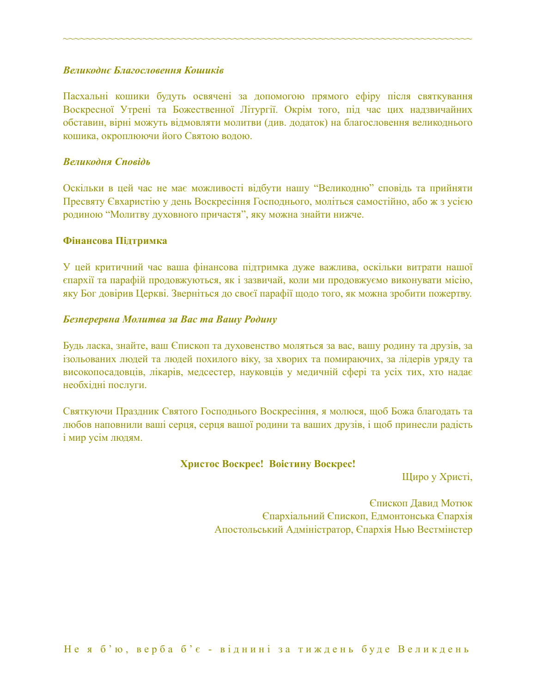#### *Великоднє Благословення Кошиків*

Пасхальні кошики будуть освячені за допомогою прямого ефіру після святкування Воскресної Утрені та Божественної Літургії. Окрім того, під час цих надзвичайних обставин, вірні можуть відмовляти молитви (див. додаток) на благословення великоднього кошика, окроплюючи його Святою водою.

~~~~~~~~~~~~~~~~~~~~~~~~~~~~~~~~~~~~~~~~~~~~~~~~~~~~~~~~~~~~~~~~~~~~~~~~

#### *Великодня Сповідь*

Оскільки в цей час не має можливості відбути нашу "Великодню" сповідь та прийняти Пресвяту Євхаристію у день Воскресіння Господнього, моліться самостійно, або ж з усією родиною "Молитву духовного причастя", яку можна знайти нижче.

#### **Фінансова Підтримка**

У цей критичний час ваша фінансова підтримка дуже важлива, оскільки витрати нашої єпархії та парафій продовжуються, як і зазвичай, коли ми продовжуємо виконувати місію, яку Бог довірив Церкві. Зверніться до своєї парафії щодо того, як можна зробити пожертву.

#### *Безперервна Молитва за Вас та Вашу Родину*

Будь ласка, знайте, ваш Єпископ та духовенство моляться за вас, вашу родину та друзів, за ізольованих людей та людей похилого віку, за хворих та помираючих, за лідерів уряду та високопосадовців, лікарів, медсестер, науковців у медичній сфері та усіх тих, хто надає необхідні послуги.

Святкуючи Праздник Святого Господнього Воскресіння, я молюся, щоб Божа благодать та любов наповнили ваші серця, серця вашої родини та ваших друзів, і щоб принесли радість і мир усім людям.

#### **Христос Воскрес! Воістину Воскрес!**

Щиро у Христі,

Єпископ Давид Мотюк Єпархіальний Єпископ, Едмонтонська Єпархія Апостольський Адміністратор, Єпархія Нью Вестмінстер